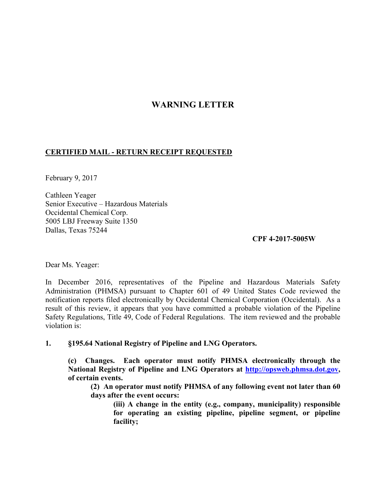## **WARNING LETTER**

## **CERTIFIED MAIL - RETURN RECEIPT REQUESTED**

February 9, 2017

Cathleen Yeager Senior Executive – Hazardous Materials Occidental Chemical Corp. 5005 LBJ Freeway Suite 1350 Dallas, Texas 75244

## **CPF 4-2017-5005W**

Dear Ms. Yeager:

In December 2016, representatives of the Pipeline and Hazardous Materials Safety Administration (PHMSA) pursuant to Chapter 601 of 49 United States Code reviewed the notification reports filed electronically by Occidental Chemical Corporation (Occidental). As a result of this review, it appears that you have committed a probable violation of the Pipeline Safety Regulations, Title 49, Code of Federal Regulations. The item reviewed and the probable violation is:

**1. §195.64 National Registry of Pipeline and LNG Operators.** 

**(c) Changes. Each operator must notify PHMSA electronically through the National Registry of Pipeline and LNG Operators at http://opsweb.phmsa.dot.gov, of certain events.** 

**(2) An operator must notify PHMSA of any following event not later than 60 days after the event occurs:** 

**(iii) A change in the entity (e.g., company, municipality) responsible for operating an existing pipeline, pipeline segment, or pipeline facility;**